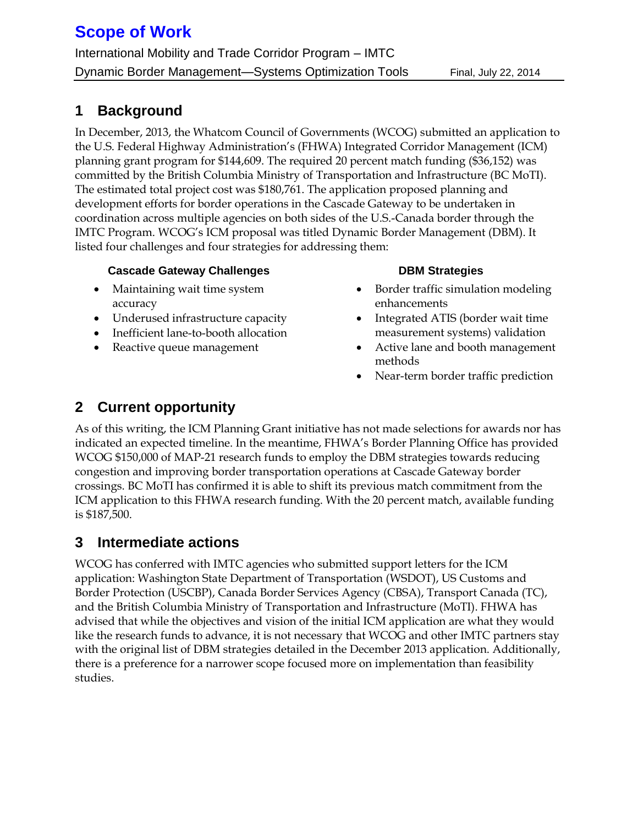# **Scope of Work**

International Mobility and Trade Corridor Program – IMTC Dynamic Border Management—Systems Optimization Tools Final, July 22, 2014

### **1 Background**

In December, 2013, the Whatcom Council of Governments (WCOG) submitted an application to the U.S. Federal Highway Administration's (FHWA) Integrated Corridor Management (ICM) planning grant program for \$144,609. The required 20 percent match funding (\$36,152) was committed by the British Columbia Ministry of Transportation and Infrastructure (BC MoTI). The estimated total project cost was \$180,761. The application proposed planning and development efforts for border operations in the Cascade Gateway to be undertaken in coordination across multiple agencies on both sides of the U.S.-Canada border through the IMTC Program. WCOG's ICM proposal was titled Dynamic Border Management (DBM). It listed four challenges and four strategies for addressing them:

### **Cascade Gateway Challenges**

- Maintaining wait time system accuracy
- Underused infrastructure capacity
- Inefficient lane-to-booth allocation
- Reactive queue management

### **DBM Strategies**

- Border traffic simulation modeling enhancements
- Integrated ATIS (border wait time measurement systems) validation
- Active lane and booth management methods
- Near-term border traffic prediction

### **2 Current opportunity**

As of this writing, the ICM Planning Grant initiative has not made selections for awards nor has indicated an expected timeline. In the meantime, FHWA's Border Planning Office has provided WCOG \$150,000 of MAP-21 research funds to employ the DBM strategies towards reducing congestion and improving border transportation operations at Cascade Gateway border crossings. BC MoTI has confirmed it is able to shift its previous match commitment from the ICM application to this FHWA research funding. With the 20 percent match, available funding is \$187,500.

## **3 Intermediate actions**

WCOG has conferred with IMTC agencies who submitted support letters for the ICM application: Washington State Department of Transportation (WSDOT), US Customs and Border Protection (USCBP), Canada Border Services Agency (CBSA), Transport Canada (TC), and the British Columbia Ministry of Transportation and Infrastructure (MoTI). FHWA has advised that while the objectives and vision of the initial ICM application are what they would like the research funds to advance, it is not necessary that WCOG and other IMTC partners stay with the original list of DBM strategies detailed in the December 2013 application. Additionally, there is a preference for a narrower scope focused more on implementation than feasibility studies.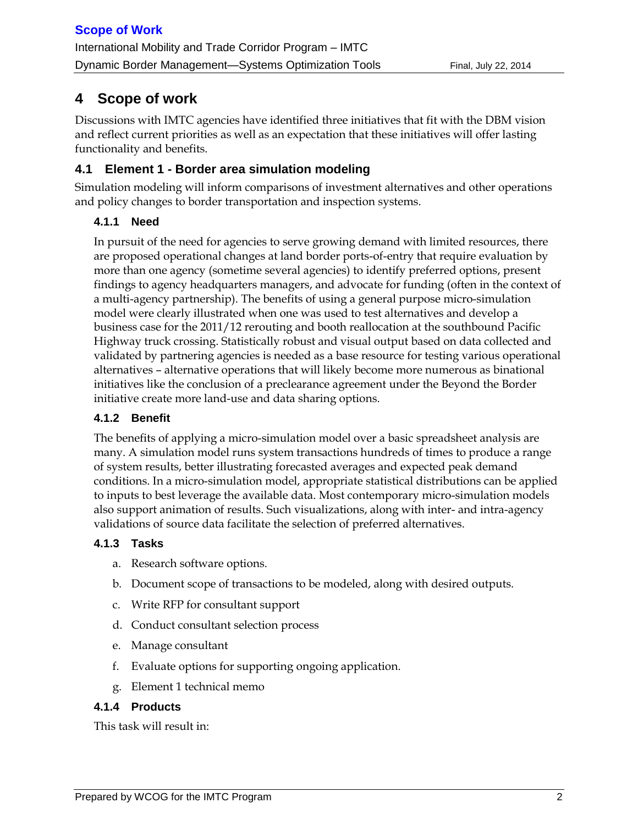## **4 Scope of work**

Discussions with IMTC agencies have identified three initiatives that fit with the DBM vision and reflect current priorities as well as an expectation that these initiatives will offer lasting functionality and benefits.

### **4.1 Element 1 - Border area simulation modeling**

Simulation modeling will inform comparisons of investment alternatives and other operations and policy changes to border transportation and inspection systems.

### **4.1.1 Need**

In pursuit of the need for agencies to serve growing demand with limited resources, there are proposed operational changes at land border ports-of-entry that require evaluation by more than one agency (sometime several agencies) to identify preferred options, present findings to agency headquarters managers, and advocate for funding (often in the context of a multi-agency partnership). The benefits of using a general purpose micro-simulation model were clearly illustrated when one was used to test alternatives and develop a business case for the 2011/12 rerouting and booth reallocation at the southbound Pacific Highway truck crossing. Statistically robust and visual output based on data collected and validated by partnering agencies is needed as a base resource for testing various operational alternatives – alternative operations that will likely become more numerous as binational initiatives like the conclusion of a preclearance agreement under the Beyond the Border initiative create more land-use and data sharing options.

### **4.1.2 Benefit**

The benefits of applying a micro-simulation model over a basic spreadsheet analysis are many. A simulation model runs system transactions hundreds of times to produce a range of system results, better illustrating forecasted averages and expected peak demand conditions. In a micro-simulation model, appropriate statistical distributions can be applied to inputs to best leverage the available data. Most contemporary micro-simulation models also support animation of results. Such visualizations, along with inter- and intra-agency validations of source data facilitate the selection of preferred alternatives.

### **4.1.3 Tasks**

- a. Research software options.
- b. Document scope of transactions to be modeled, along with desired outputs.
- c. Write RFP for consultant support
- d. Conduct consultant selection process
- e. Manage consultant
- f. Evaluate options for supporting ongoing application.
- g. Element 1 technical memo

### **4.1.4 Products**

This task will result in: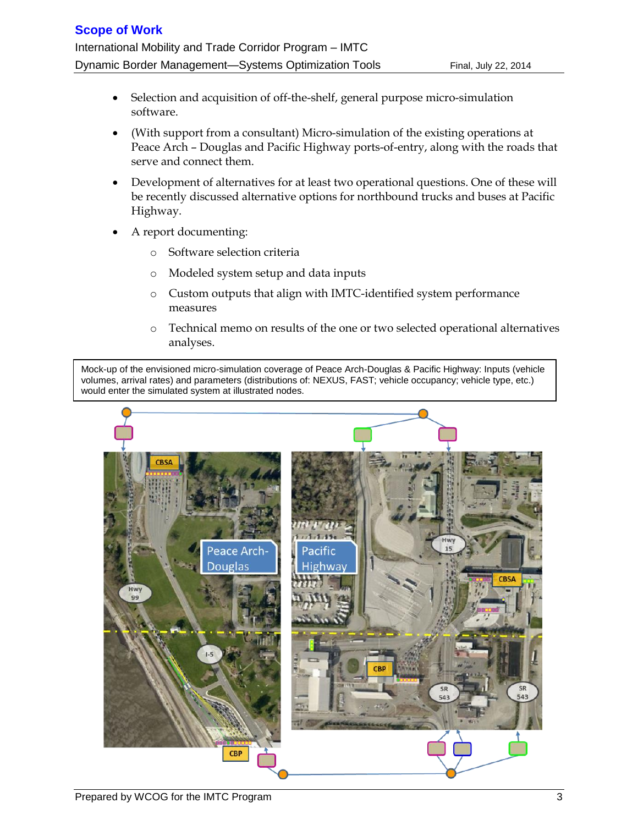- Selection and acquisition of off-the-shelf, general purpose micro-simulation software.
- (With support from a consultant) Micro-simulation of the existing operations at Peace Arch – Douglas and Pacific Highway ports-of-entry, along with the roads that serve and connect them.
- Development of alternatives for at least two operational questions. One of these will be recently discussed alternative options for northbound trucks and buses at Pacific Highway.
- A report documenting:
	- o Software selection criteria
	- o Modeled system setup and data inputs
	- o Custom outputs that align with IMTC-identified system performance measures
	- o Technical memo on results of the one or two selected operational alternatives analyses.

Mock-up of the envisioned micro-simulation coverage of Peace Arch-Douglas & Pacific Highway: Inputs (vehicle volumes, arrival rates) and parameters (distributions of: NEXUS, FAST; vehicle occupancy; vehicle type, etc.) would enter the simulated system at illustrated nodes.

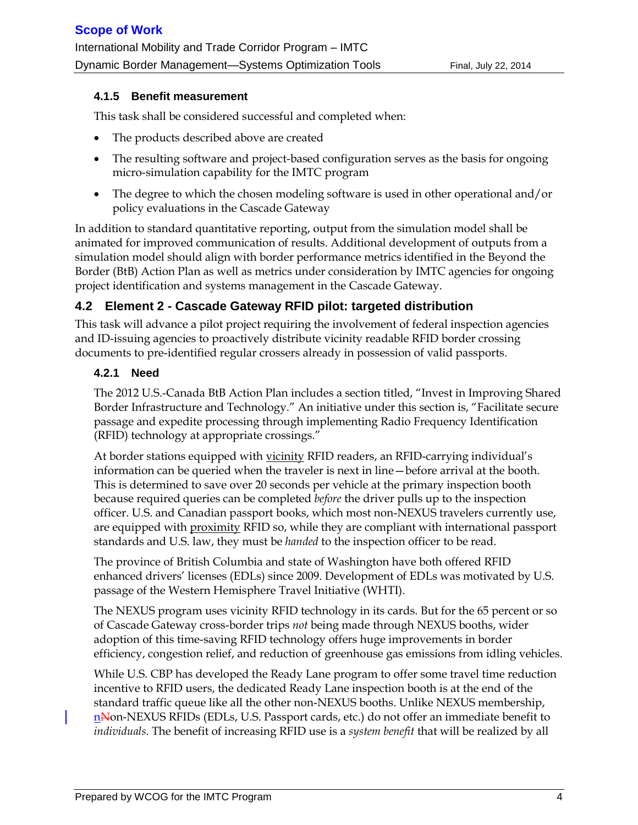#### **4.1.5 Benefit measurement**

This task shall be considered successful and completed when:

- The products described above are created
- The resulting software and project-based configuration serves as the basis for ongoing micro-simulation capability for the IMTC program
- The degree to which the chosen modeling software is used in other operational and/or policy evaluations in the Cascade Gateway

In addition to standard quantitative reporting, output from the simulation model shall be animated for improved communication of results. Additional development of outputs from a simulation model should align with border performance metrics identified in the Beyond the Border (BtB) Action Plan as well as metrics under consideration by IMTC agencies for ongoing project identification and systems management in the Cascade Gateway.

#### **4.2 Element 2 - Cascade Gateway RFID pilot: targeted distribution**

This task will advance a pilot project requiring the involvement of federal inspection agencies and ID-issuing agencies to proactively distribute vicinity readable RFID border crossing documents to pre-identified regular crossers already in possession of valid passports.

#### **4.2.1 Need**

The 2012 U.S.-Canada BtB Action Plan includes a section titled, "Invest in Improving Shared Border Infrastructure and Technology." An initiative under this section is, "Facilitate secure passage and expedite processing through implementing Radio Frequency Identification (RFID) technology at appropriate crossings."

At border stations equipped with vicinity RFID readers, an RFID-carrying individual's information can be queried when the traveler is next in line—before arrival at the booth. This is determined to save over 20 seconds per vehicle at the primary inspection booth because required queries can be completed *before* the driver pulls up to the inspection officer. U.S. and Canadian passport books, which most non-NEXUS travelers currently use, are equipped with proximity RFID so, while they are compliant with international passport standards and U.S. law, they must be *handed* to the inspection officer to be read.

The province of British Columbia and state of Washington have both offered RFID enhanced drivers' licenses (EDLs) since 2009. Development of EDLs was motivated by U.S. passage of the Western Hemisphere Travel Initiative (WHTI).

The NEXUS program uses vicinity RFID technology in its cards. But for the 65 percent or so of Cascade Gateway cross-border trips *not* being made through NEXUS booths, wider adoption of this time-saving RFID technology offers huge improvements in border efficiency, congestion relief, and reduction of greenhouse gas emissions from idling vehicles.

While U.S. CBP has developed the Ready Lane program to offer some travel time reduction incentive to RFID users, the dedicated Ready Lane inspection booth is at the end of the standard traffic queue like all the other non-NEXUS booths. Unlike NEXUS membership, nNon-NEXUS RFIDs (EDLs, U.S. Passport cards, etc.) do not offer an immediate benefit to *individuals*. The benefit of increasing RFID use is a *system benefit* that will be realized by all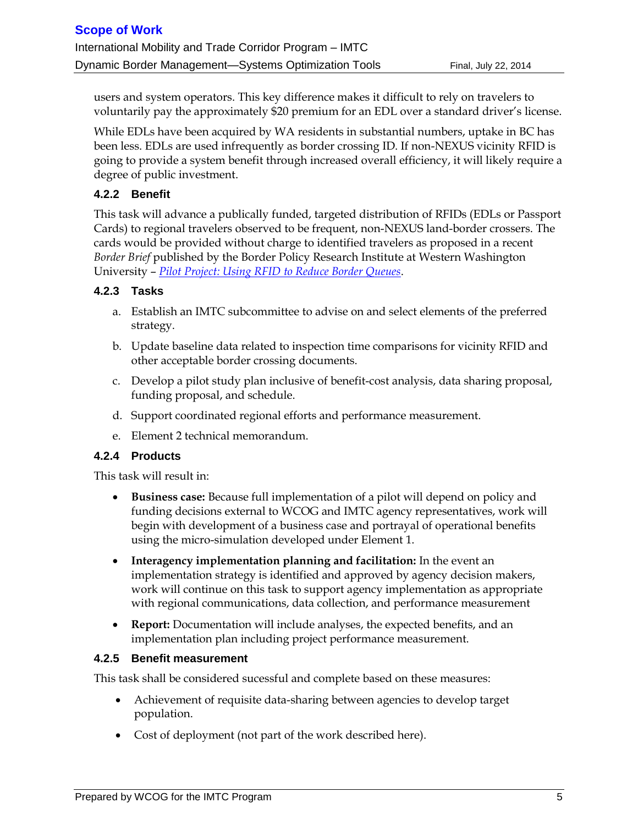users and system operators. This key difference makes it difficult to rely on travelers to voluntarily pay the approximately \$20 premium for an EDL over a standard driver's license.

While EDLs have been acquired by WA residents in substantial numbers, uptake in BC has been less. EDLs are used infrequently as border crossing ID. If non-NEXUS vicinity RFID is going to provide a system benefit through increased overall efficiency, it will likely require a degree of public investment.

#### **4.2.2 Benefit**

This task will advance a publically funded, targeted distribution of RFIDs (EDLs or Passport Cards) to regional travelers observed to be frequent, non-NEXUS land-border crossers. The cards would be provided without charge to identified travelers as proposed in a recent *Border Brief* published by the Border Policy Research Institute at Western Washington University – *[Pilot Project: Using RFID to Reduce Border Queues](http://www.wwu.edu/bpri/files/2014_Spring_Border_Brief.pdf)*.

#### **4.2.3 Tasks**

- a. Establish an IMTC subcommittee to advise on and select elements of the preferred strategy.
- b. Update baseline data related to inspection time comparisons for vicinity RFID and other acceptable border crossing documents.
- c. Develop a pilot study plan inclusive of benefit-cost analysis, data sharing proposal, funding proposal, and schedule.
- d. Support coordinated regional efforts and performance measurement.
- e. Element 2 technical memorandum.

#### **4.2.4 Products**

This task will result in:

- **Business case:** Because full implementation of a pilot will depend on policy and funding decisions external to WCOG and IMTC agency representatives, work will begin with development of a business case and portrayal of operational benefits using the micro-simulation developed under Element 1.
- **Interagency implementation planning and facilitation:** In the event an implementation strategy is identified and approved by agency decision makers, work will continue on this task to support agency implementation as appropriate with regional communications, data collection, and performance measurement
- **Report:** Documentation will include analyses, the expected benefits, and an implementation plan including project performance measurement.

#### **4.2.5 Benefit measurement**

This task shall be considered sucessful and complete based on these measures:

- Achievement of requisite data-sharing between agencies to develop target population.
- Cost of deployment (not part of the work described here).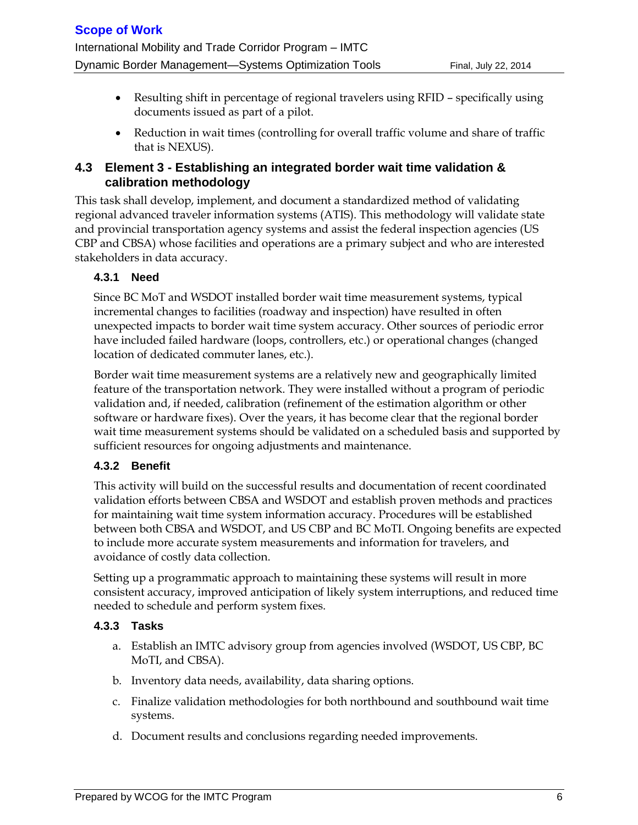- Resulting shift in percentage of regional travelers using RFID specifically using documents issued as part of a pilot.
- Reduction in wait times (controlling for overall traffic volume and share of traffic that is NEXUS).

### **4.3 Element 3 - Establishing an integrated border wait time validation & calibration methodology**

This task shall develop, implement, and document a standardized method of validating regional advanced traveler information systems (ATIS). This methodology will validate state and provincial transportation agency systems and assist the federal inspection agencies (US CBP and CBSA) whose facilities and operations are a primary subject and who are interested stakeholders in data accuracy.

#### **4.3.1 Need**

Since BC MoT and WSDOT installed border wait time measurement systems, typical incremental changes to facilities (roadway and inspection) have resulted in often unexpected impacts to border wait time system accuracy. Other sources of periodic error have included failed hardware (loops, controllers, etc.) or operational changes (changed location of dedicated commuter lanes, etc.).

Border wait time measurement systems are a relatively new and geographically limited feature of the transportation network. They were installed without a program of periodic validation and, if needed, calibration (refinement of the estimation algorithm or other software or hardware fixes). Over the years, it has become clear that the regional border wait time measurement systems should be validated on a scheduled basis and supported by sufficient resources for ongoing adjustments and maintenance.

#### **4.3.2 Benefit**

This activity will build on the successful results and documentation of recent coordinated validation efforts between CBSA and WSDOT and establish proven methods and practices for maintaining wait time system information accuracy. Procedures will be established between both CBSA and WSDOT, and US CBP and BC MoTI. Ongoing benefits are expected to include more accurate system measurements and information for travelers, and avoidance of costly data collection.

Setting up a programmatic approach to maintaining these systems will result in more consistent accuracy, improved anticipation of likely system interruptions, and reduced time needed to schedule and perform system fixes.

#### **4.3.3 Tasks**

- a. Establish an IMTC advisory group from agencies involved (WSDOT, US CBP, BC MoTI, and CBSA).
- b. Inventory data needs, availability, data sharing options.
- c. Finalize validation methodologies for both northbound and southbound wait time systems.
- d. Document results and conclusions regarding needed improvements.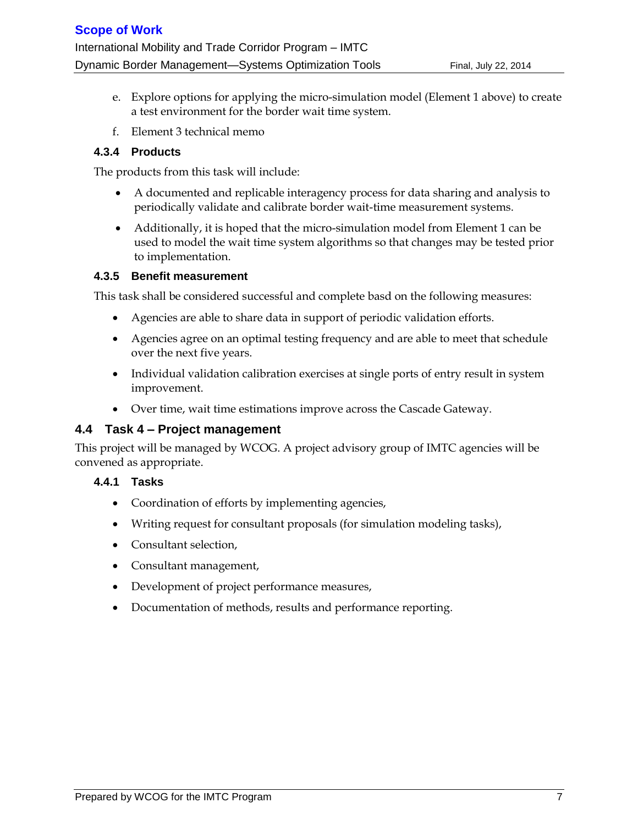- e. Explore options for applying the micro-simulation model (Element 1 above) to create a test environment for the border wait time system.
- f. Element 3 technical memo

#### **4.3.4 Products**

The products from this task will include:

- A documented and replicable interagency process for data sharing and analysis to periodically validate and calibrate border wait-time measurement systems.
- Additionally, it is hoped that the micro-simulation model from Element 1 can be used to model the wait time system algorithms so that changes may be tested prior to implementation.

#### **4.3.5 Benefit measurement**

This task shall be considered successful and complete basd on the following measures:

- Agencies are able to share data in support of periodic validation efforts.
- Agencies agree on an optimal testing frequency and are able to meet that schedule over the next five years.
- Individual validation calibration exercises at single ports of entry result in system improvement.
- Over time, wait time estimations improve across the Cascade Gateway.

#### **4.4 Task 4 – Project management**

This project will be managed by WCOG. A project advisory group of IMTC agencies will be convened as appropriate.

#### **4.4.1 Tasks**

- Coordination of efforts by implementing agencies,
- Writing request for consultant proposals (for simulation modeling tasks),
- Consultant selection,
- Consultant management,
- Development of project performance measures,
- Documentation of methods, results and performance reporting.